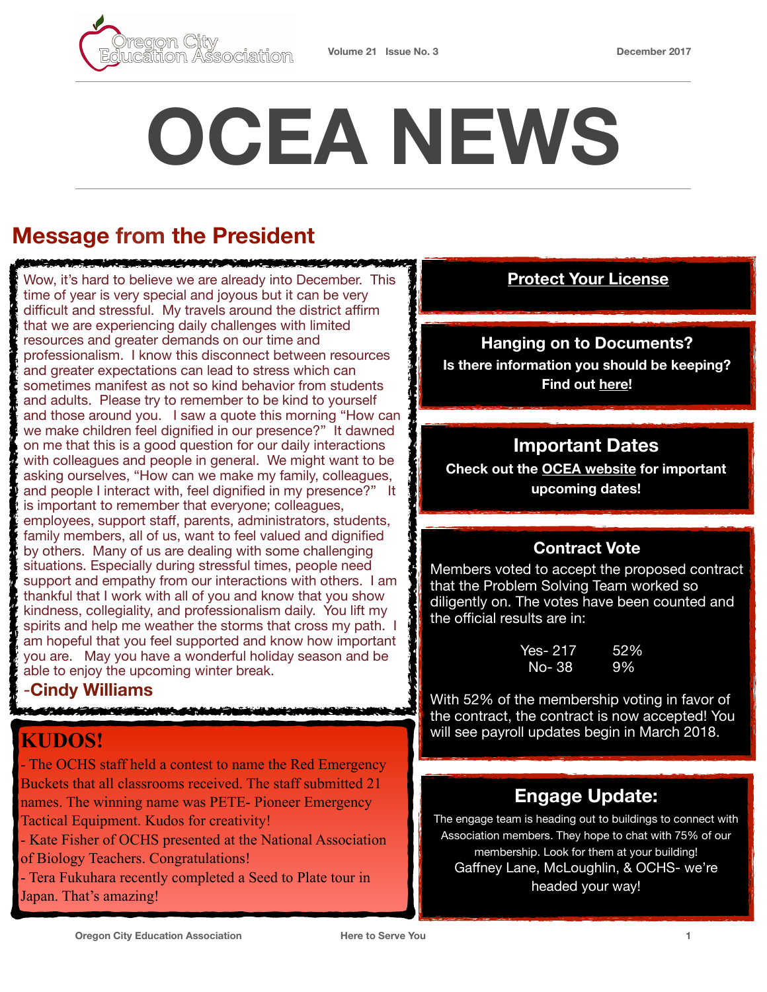# **OCEA NEWS**

# **Message from the President**

Wow, it's hard to believe we are already into December. This **[Protect Your License](http://www.oregoned.org/member-resources/educator-resources/protect-your-license)** time of year is very special and joyous but it can be very difficult and stressful. My travels around the district affirm that we are experiencing daily challenges with limited resources and greater demands on our time and professionalism. I know this disconnect between resources and greater expectations can lead to stress which can sometimes manifest as not so kind behavior from students and adults. Please try to remember to be kind to yourself and those around you. I saw a quote this morning "How can we make children feel dignified in our presence?" It dawned on me that this is a good question for our daily interactions with colleagues and people in general. We might want to be asking ourselves, "How can we make my family, colleagues, and people I interact with, feel dignified in my presence?" It is important to remember that everyone; colleagues, employees, support staff, parents, administrators, students, family members, all of us, want to feel valued and dignified by others. Many of us are dealing with some challenging situations. Especially during stressful times, people need support and empathy from our interactions with others. I am thankful that I work with all of you and know that you show kindness, collegiality, and professionalism daily. You lift my spirits and help me weather the storms that cross my path. I am hopeful that you feel supported and know how important you are. May you have a wonderful holiday season and be able to enjoy the upcoming winter break.

<u>in kabupatèn Kabupatèn Kabupatèn Kabupatèn Kabupatèn Kabupatèn Kabupatèn Kabupatèn Kabupatèn Kabupatèn Kabupatèn Ka</u>

#### -**Cindy Williams**

<u> Kale le Albert School</u>

## **KUDOS!**

- The OCHS staff held a contest to name the Red Emergency Buckets that all classrooms received. The staff submitted 21 names. The winning name was PETE- Pioneer Emergency Tactical Equipment. Kudos for creativity!

- Kate Fisher of OCHS presented at the National Association of Biology Teachers. Congratulations!

- Tera Fukuhara recently completed a Seed to Plate tour in Japan. That's amazing!

#### **Hanging on to Documents?**

**Is there information you should be keeping? Find out [here!](http://www.oregoned.org/member-resources/educator-resources/important-documents-to-keep)** 

#### **Important Dates**

**Check out the [OCEA website](https://www.orecityea.org/) for important upcoming dates!**

#### **Contract Vote**

Members voted to accept the proposed contract that the Problem Solving Team worked so diligently on. The votes have been counted and the official results are in:

> Yes- 217 52% No- 38 9%

With 52% of the membership voting in favor of the contract, the contract is now accepted! You will see payroll updates begin in March 2018.

### **Engage Update:**

The engage team is heading out to buildings to connect with Association members. They hope to chat with 75% of our membership. Look for them at your building! Gaffney Lane, McLoughlin, & OCHS- we're headed your way!